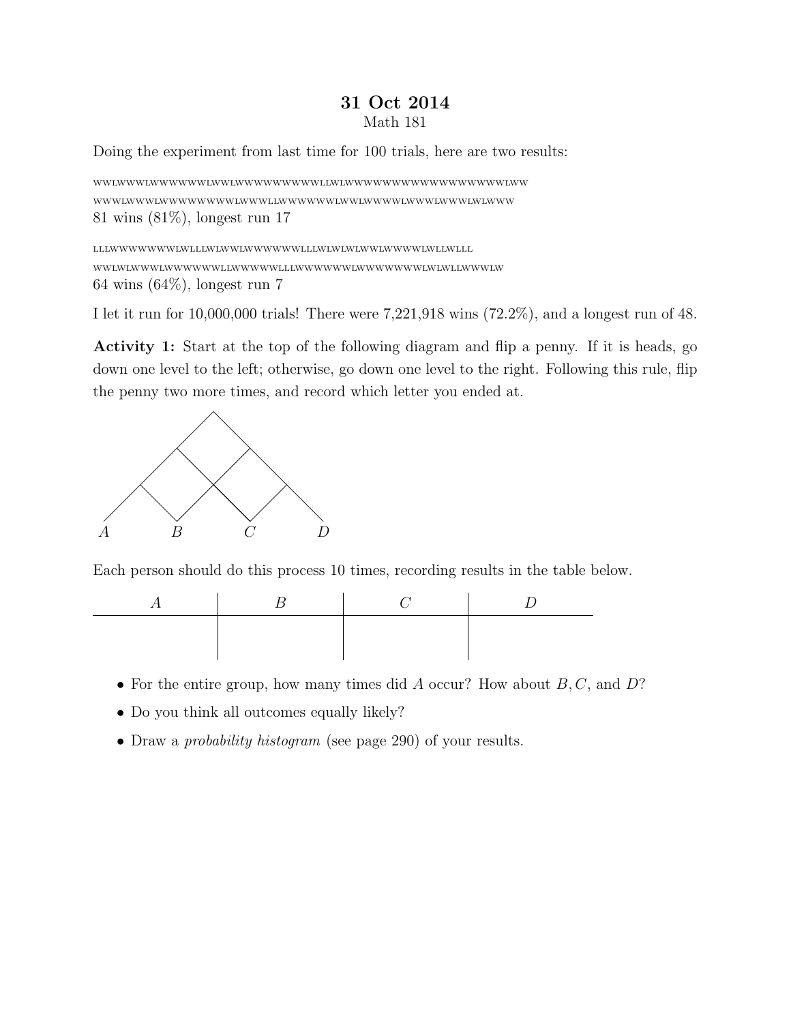## 31 Oct 2014 Math 181

Doing the experiment from last time for 100 trials, here are two results:

WWLWWWLWWWWWWLWWLWWWWWWWWWLLWLWWWWWWWWWWWWWWWWWLWW WWWLWWWLWWWWWWWWLWWWLLWWWWWWLWWLWWWWLWWWLWWWLWLWWW 81 wins (81%), longest run 17

LLLWWWWWWWLWLLLWLWWLWWWWWWLLLWLWLWLWWLWWWWLWLLWLLL WWLWLWWWLWWWWWWLLWWWWWLLLWWWWWWLWWWWWWWLWLWLLWWWLW 64 wins (64%), longest run 7

I let it run for 10,000,000 trials! There were 7,221,918 wins (72.2%), and a longest run of 48.

Activity 1: Start at the top of the following diagram and flip a penny. If it is heads, go down one level to the left; otherwise, go down one level to the right. Following this rule, flip the penny two more times, and record which letter you ended at.



Each person should do this process 10 times, recording results in the table below.



- For the entire group, how many times did  $A$  occur? How about  $B, C$ , and  $D$ ?
- Do you think all outcomes equally likely?
- Draw a *probability histogram* (see page 290) of your results.